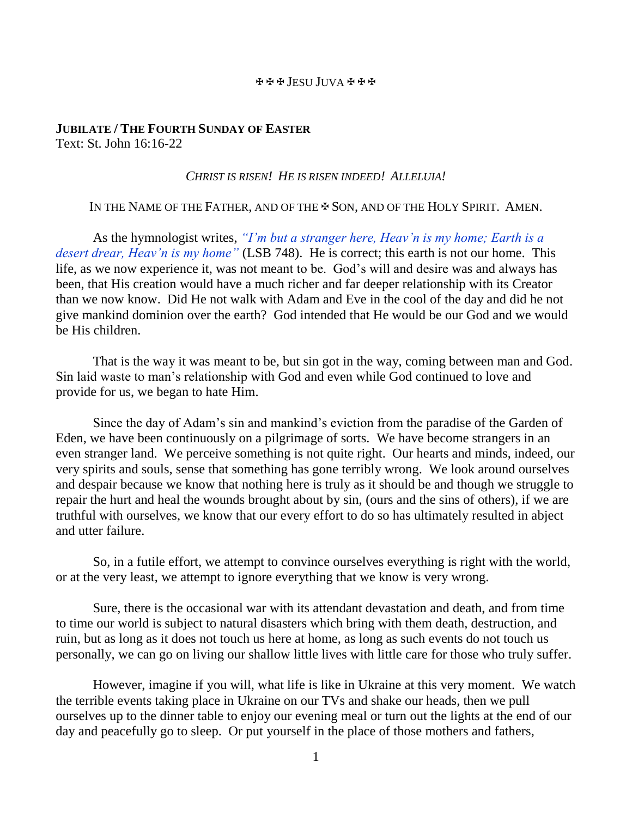#### JESU JUVA

# **JUBILATE / THE FOURTH SUNDAY OF EASTER** Text: St. John 16:16-22

## *CHRIST IS RISEN! HE IS RISEN INDEED! ALLELUIA!*

# IN THE NAME OF THE FATHER, AND OF THE  $\clubsuit$  Son, and of the HOLY SPIRIT. AMEN.

As the hymnologist writes, *"I'm but a stranger here, Heav'n is my home; Earth is a desert drear, Heav'n is my home"* (LSB 748). He is correct; this earth is not our home. This life, as we now experience it, was not meant to be. God's will and desire was and always has been, that His creation would have a much richer and far deeper relationship with its Creator than we now know. Did He not walk with Adam and Eve in the cool of the day and did he not give mankind dominion over the earth? God intended that He would be our God and we would be His children.

That is the way it was meant to be, but sin got in the way, coming between man and God. Sin laid waste to man's relationship with God and even while God continued to love and provide for us, we began to hate Him.

Since the day of Adam's sin and mankind's eviction from the paradise of the Garden of Eden, we have been continuously on a pilgrimage of sorts. We have become strangers in an even stranger land. We perceive something is not quite right. Our hearts and minds, indeed, our very spirits and souls, sense that something has gone terribly wrong. We look around ourselves and despair because we know that nothing here is truly as it should be and though we struggle to repair the hurt and heal the wounds brought about by sin, (ours and the sins of others), if we are truthful with ourselves, we know that our every effort to do so has ultimately resulted in abject and utter failure.

So, in a futile effort, we attempt to convince ourselves everything is right with the world, or at the very least, we attempt to ignore everything that we know is very wrong.

Sure, there is the occasional war with its attendant devastation and death, and from time to time our world is subject to natural disasters which bring with them death, destruction, and ruin, but as long as it does not touch us here at home, as long as such events do not touch us personally, we can go on living our shallow little lives with little care for those who truly suffer.

However, imagine if you will, what life is like in Ukraine at this very moment. We watch the terrible events taking place in Ukraine on our TVs and shake our heads, then we pull ourselves up to the dinner table to enjoy our evening meal or turn out the lights at the end of our day and peacefully go to sleep. Or put yourself in the place of those mothers and fathers,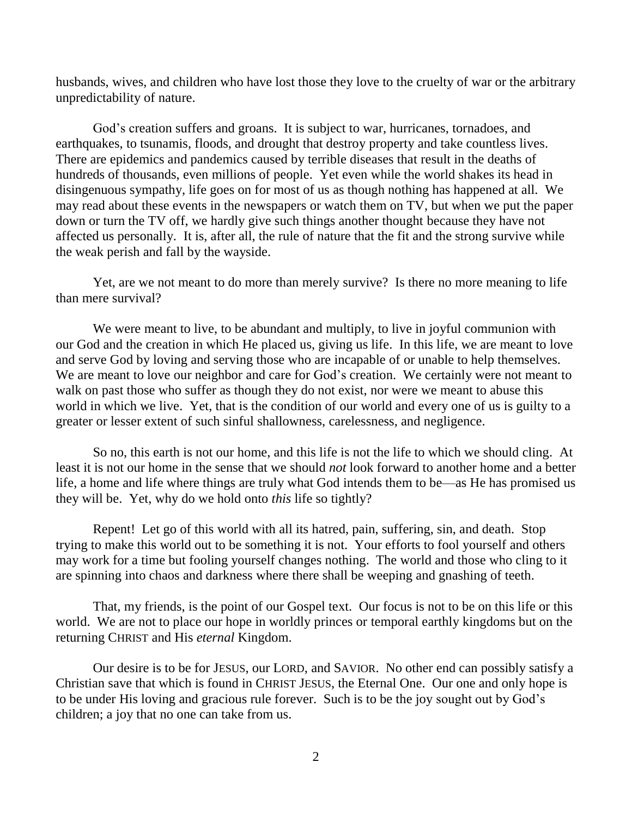husbands, wives, and children who have lost those they love to the cruelty of war or the arbitrary unpredictability of nature.

God's creation suffers and groans. It is subject to war, hurricanes, tornadoes, and earthquakes, to tsunamis, floods, and drought that destroy property and take countless lives. There are epidemics and pandemics caused by terrible diseases that result in the deaths of hundreds of thousands, even millions of people. Yet even while the world shakes its head in disingenuous sympathy, life goes on for most of us as though nothing has happened at all. We may read about these events in the newspapers or watch them on TV, but when we put the paper down or turn the TV off, we hardly give such things another thought because they have not affected us personally. It is, after all, the rule of nature that the fit and the strong survive while the weak perish and fall by the wayside.

Yet, are we not meant to do more than merely survive? Is there no more meaning to life than mere survival?

We were meant to live, to be abundant and multiply, to live in joyful communion with our God and the creation in which He placed us, giving us life. In this life, we are meant to love and serve God by loving and serving those who are incapable of or unable to help themselves. We are meant to love our neighbor and care for God's creation. We certainly were not meant to walk on past those who suffer as though they do not exist, nor were we meant to abuse this world in which we live. Yet, that is the condition of our world and every one of us is guilty to a greater or lesser extent of such sinful shallowness, carelessness, and negligence.

So no, this earth is not our home, and this life is not the life to which we should cling. At least it is not our home in the sense that we should *not* look forward to another home and a better life, a home and life where things are truly what God intends them to be—as He has promised us they will be. Yet, why do we hold onto *this* life so tightly?

Repent! Let go of this world with all its hatred, pain, suffering, sin, and death. Stop trying to make this world out to be something it is not. Your efforts to fool yourself and others may work for a time but fooling yourself changes nothing. The world and those who cling to it are spinning into chaos and darkness where there shall be weeping and gnashing of teeth.

That, my friends, is the point of our Gospel text. Our focus is not to be on this life or this world. We are not to place our hope in worldly princes or temporal earthly kingdoms but on the returning CHRIST and His *eternal* Kingdom.

Our desire is to be for JESUS, our LORD, and SAVIOR. No other end can possibly satisfy a Christian save that which is found in CHRIST JESUS, the Eternal One. Our one and only hope is to be under His loving and gracious rule forever. Such is to be the joy sought out by God's children; a joy that no one can take from us.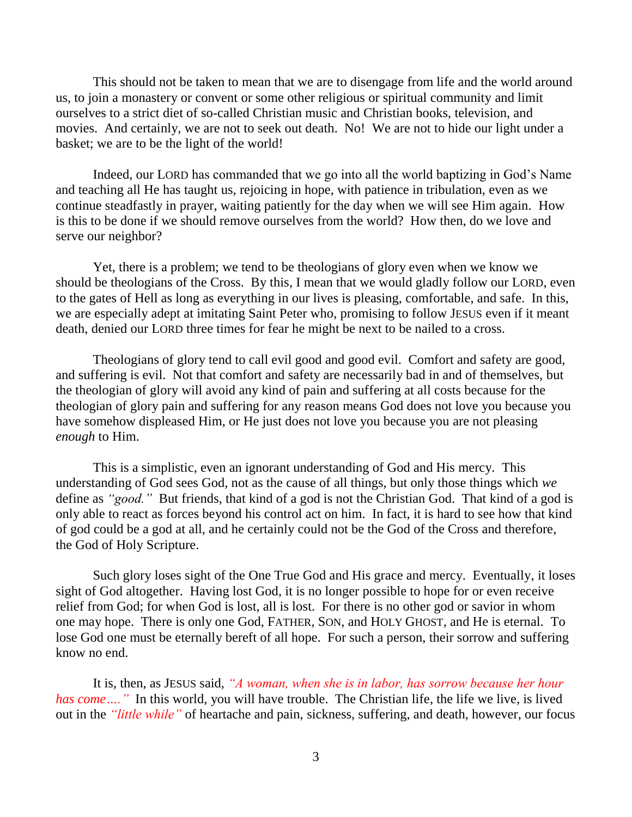This should not be taken to mean that we are to disengage from life and the world around us, to join a monastery or convent or some other religious or spiritual community and limit ourselves to a strict diet of so-called Christian music and Christian books, television, and movies. And certainly, we are not to seek out death. No! We are not to hide our light under a basket; we are to be the light of the world!

Indeed, our LORD has commanded that we go into all the world baptizing in God's Name and teaching all He has taught us, rejoicing in hope, with patience in tribulation, even as we continue steadfastly in prayer, waiting patiently for the day when we will see Him again. How is this to be done if we should remove ourselves from the world? How then, do we love and serve our neighbor?

Yet, there is a problem; we tend to be theologians of glory even when we know we should be theologians of the Cross. By this, I mean that we would gladly follow our LORD, even to the gates of Hell as long as everything in our lives is pleasing, comfortable, and safe. In this, we are especially adept at imitating Saint Peter who, promising to follow JESUS even if it meant death, denied our LORD three times for fear he might be next to be nailed to a cross.

Theologians of glory tend to call evil good and good evil. Comfort and safety are good, and suffering is evil. Not that comfort and safety are necessarily bad in and of themselves, but the theologian of glory will avoid any kind of pain and suffering at all costs because for the theologian of glory pain and suffering for any reason means God does not love you because you have somehow displeased Him, or He just does not love you because you are not pleasing *enough* to Him.

This is a simplistic, even an ignorant understanding of God and His mercy. This understanding of God sees God, not as the cause of all things, but only those things which *we* define as *"good."* But friends, that kind of a god is not the Christian God. That kind of a god is only able to react as forces beyond his control act on him. In fact, it is hard to see how that kind of god could be a god at all, and he certainly could not be the God of the Cross and therefore, the God of Holy Scripture.

Such glory loses sight of the One True God and His grace and mercy. Eventually, it loses sight of God altogether. Having lost God, it is no longer possible to hope for or even receive relief from God; for when God is lost, all is lost. For there is no other god or savior in whom one may hope. There is only one God, FATHER, SON, and HOLY GHOST, and He is eternal. To lose God one must be eternally bereft of all hope. For such a person, their sorrow and suffering know no end.

It is, then, as JESUS said, *"A woman, when she is in labor, has sorrow because her hour*  has come ...." In this world, you will have trouble. The Christian life, the life we live, is lived out in the *"little while"* of heartache and pain, sickness, suffering, and death, however, our focus